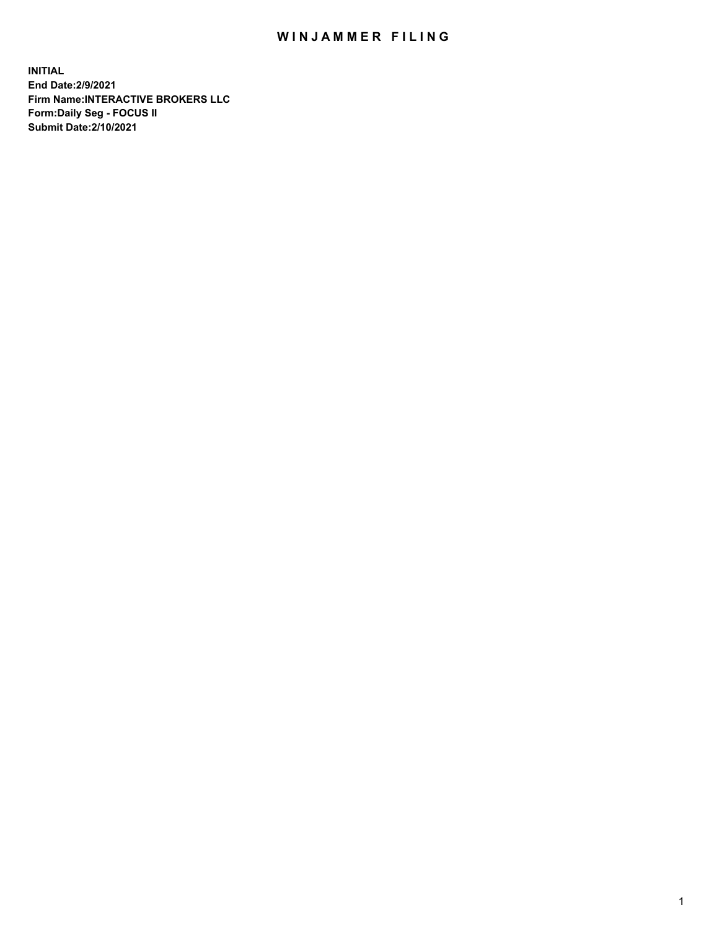## WIN JAMMER FILING

**INITIAL End Date:2/9/2021 Firm Name:INTERACTIVE BROKERS LLC Form:Daily Seg - FOCUS II Submit Date:2/10/2021**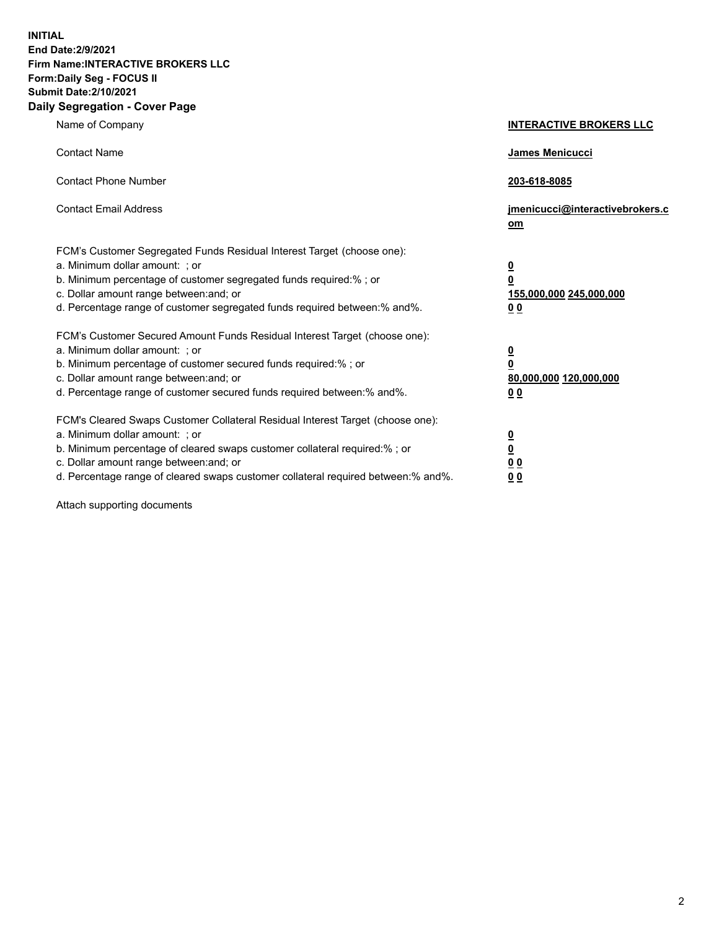**INITIAL End Date:2/9/2021 Firm Name:INTERACTIVE BROKERS LLC Form:Daily Seg - FOCUS II Submit Date:2/10/2021 Daily Segregation - Cover Page**

| Name of Company                                                                                                                                                                                                                                                                                                                | <b>INTERACTIVE BROKERS LLC</b>                                                            |
|--------------------------------------------------------------------------------------------------------------------------------------------------------------------------------------------------------------------------------------------------------------------------------------------------------------------------------|-------------------------------------------------------------------------------------------|
| <b>Contact Name</b>                                                                                                                                                                                                                                                                                                            | James Menicucci                                                                           |
| <b>Contact Phone Number</b>                                                                                                                                                                                                                                                                                                    | 203-618-8085                                                                              |
| <b>Contact Email Address</b>                                                                                                                                                                                                                                                                                                   | jmenicucci@interactivebrokers.c<br>om                                                     |
| FCM's Customer Segregated Funds Residual Interest Target (choose one):<br>a. Minimum dollar amount: ; or<br>b. Minimum percentage of customer segregated funds required:% ; or<br>c. Dollar amount range between: and; or<br>d. Percentage range of customer segregated funds required between:% and%.                         | <u>0</u><br>$\overline{\mathbf{0}}$<br>155,000,000 245,000,000<br>0 <sub>0</sub>          |
| FCM's Customer Secured Amount Funds Residual Interest Target (choose one):<br>a. Minimum dollar amount: ; or<br>b. Minimum percentage of customer secured funds required:% ; or<br>c. Dollar amount range between: and; or<br>d. Percentage range of customer secured funds required between:% and%.                           | $\overline{\mathbf{0}}$<br>$\overline{\mathbf{0}}$<br>80,000,000 120,000,000<br><u>00</u> |
| FCM's Cleared Swaps Customer Collateral Residual Interest Target (choose one):<br>a. Minimum dollar amount: ; or<br>b. Minimum percentage of cleared swaps customer collateral required:% ; or<br>c. Dollar amount range between: and; or<br>d. Percentage range of cleared swaps customer collateral required between:% and%. | $\frac{0}{0}$<br>$\underline{0}$ $\underline{0}$<br>0 <sub>0</sub>                        |

Attach supporting documents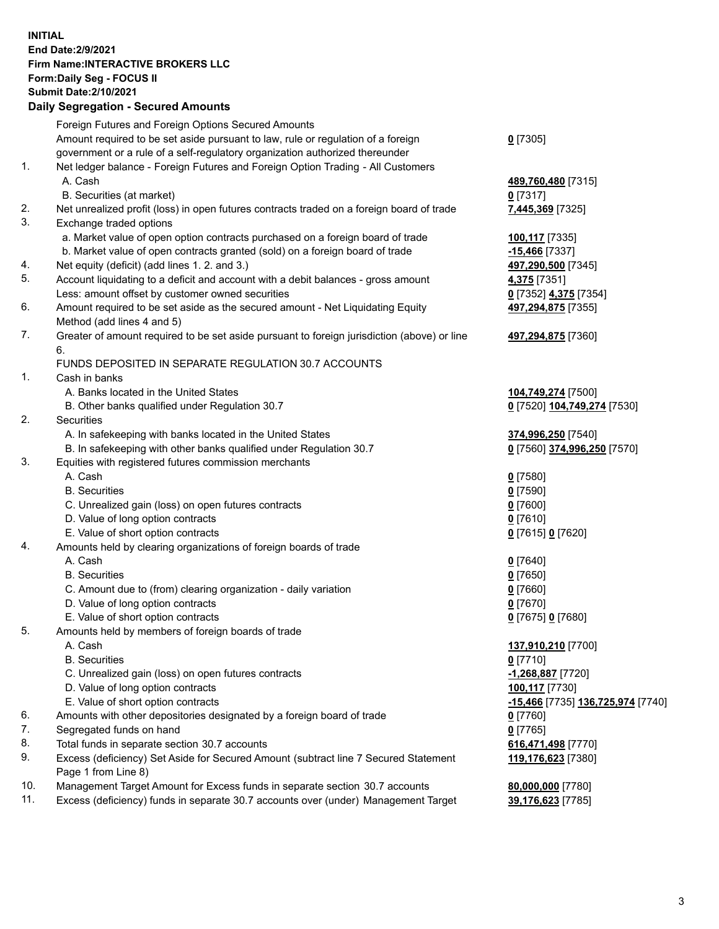## **INITIAL End Date:2/9/2021 Firm Name:INTERACTIVE BROKERS LLC Form:Daily Seg - FOCUS II Submit Date:2/10/2021 Daily Segregation - Secured Amounts**

|     | Daily Segregation - Secured Amounts                                                         |                                          |
|-----|---------------------------------------------------------------------------------------------|------------------------------------------|
|     | Foreign Futures and Foreign Options Secured Amounts                                         |                                          |
|     | Amount required to be set aside pursuant to law, rule or regulation of a foreign            | $0$ [7305]                               |
|     | government or a rule of a self-regulatory organization authorized thereunder                |                                          |
| 1.  | Net ledger balance - Foreign Futures and Foreign Option Trading - All Customers             |                                          |
|     | A. Cash                                                                                     | 489,760,480 [7315]                       |
|     | B. Securities (at market)                                                                   | $0$ [7317]                               |
| 2.  | Net unrealized profit (loss) in open futures contracts traded on a foreign board of trade   | 7,445,369 [7325]                         |
| 3.  | Exchange traded options                                                                     |                                          |
|     | a. Market value of open option contracts purchased on a foreign board of trade              | 100,117 [7335]                           |
|     | b. Market value of open contracts granted (sold) on a foreign board of trade                | $-15,466$ [7337]                         |
| 4.  | Net equity (deficit) (add lines 1. 2. and 3.)                                               | 497,290,500 [7345]                       |
| 5.  | Account liquidating to a deficit and account with a debit balances - gross amount           | 4,375 [7351]                             |
|     | Less: amount offset by customer owned securities                                            | 0 [7352] 4,375 [7354]                    |
| 6.  | Amount required to be set aside as the secured amount - Net Liquidating Equity              | 497,294,875 [7355]                       |
|     | Method (add lines 4 and 5)                                                                  |                                          |
| 7.  | Greater of amount required to be set aside pursuant to foreign jurisdiction (above) or line | 497,294,875 [7360]                       |
|     | 6.                                                                                          |                                          |
|     | FUNDS DEPOSITED IN SEPARATE REGULATION 30.7 ACCOUNTS                                        |                                          |
| 1.  | Cash in banks                                                                               |                                          |
|     | A. Banks located in the United States                                                       | 104,749,274 [7500]                       |
| 2.  | B. Other banks qualified under Regulation 30.7                                              | 0 [7520] 104,749,274 [7530]              |
|     | <b>Securities</b>                                                                           |                                          |
|     | A. In safekeeping with banks located in the United States                                   | 374,996,250 [7540]                       |
| 3.  | B. In safekeeping with other banks qualified under Regulation 30.7                          | 0 [7560] 374,996,250 [7570]              |
|     | Equities with registered futures commission merchants<br>A. Cash                            | $0$ [7580]                               |
|     | <b>B.</b> Securities                                                                        | $0$ [7590]                               |
|     | C. Unrealized gain (loss) on open futures contracts                                         | $0$ [7600]                               |
|     | D. Value of long option contracts                                                           | $0$ [7610]                               |
|     | E. Value of short option contracts                                                          | 0 [7615] 0 [7620]                        |
| 4.  | Amounts held by clearing organizations of foreign boards of trade                           |                                          |
|     | A. Cash                                                                                     | $0$ [7640]                               |
|     | <b>B.</b> Securities                                                                        | $0$ [7650]                               |
|     | C. Amount due to (from) clearing organization - daily variation                             | $0$ [7660]                               |
|     | D. Value of long option contracts                                                           | $0$ [7670]                               |
|     | E. Value of short option contracts                                                          | 0 [7675] 0 [7680]                        |
| 5.  | Amounts held by members of foreign boards of trade                                          |                                          |
|     | A. Cash                                                                                     | 137,910,210 [7700]                       |
|     | <b>B.</b> Securities                                                                        | $0$ [7710]                               |
|     | C. Unrealized gain (loss) on open futures contracts                                         | $-1,268,887$ [7720]                      |
|     | D. Value of long option contracts                                                           | 100,117 [7730]                           |
|     | E. Value of short option contracts                                                          | <u>-15,466</u> [7735] 136,725,974 [7740] |
| 6.  | Amounts with other depositories designated by a foreign board of trade                      | 0 [7760]                                 |
| 7.  | Segregated funds on hand                                                                    | $0$ [7765]                               |
| 8.  | Total funds in separate section 30.7 accounts                                               | 616,471,498 [7770]                       |
| 9.  | Excess (deficiency) Set Aside for Secured Amount (subtract line 7 Secured Statement         | 119,176,623 [7380]                       |
|     | Page 1 from Line 8)                                                                         |                                          |
| 10. | Management Target Amount for Excess funds in separate section 30.7 accounts                 | 80,000,000 [7780]                        |
| 11. | Excess (deficiency) funds in separate 30.7 accounts over (under) Management Target          | 39,176,623 [7785]                        |
|     |                                                                                             |                                          |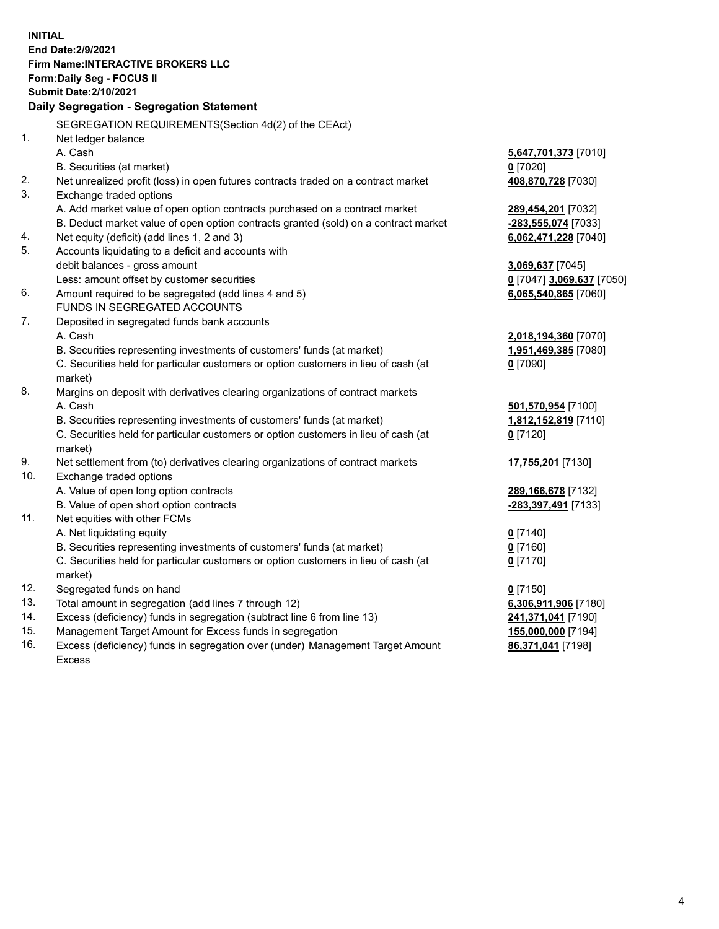**INITIAL End Date:2/9/2021 Firm Name:INTERACTIVE BROKERS LLC Form:Daily Seg - FOCUS II Submit Date:2/10/2021 Daily Segregation - Segregation Statement** SEGREGATION REQUIREMENTS(Section 4d(2) of the CEAct) 1. Net ledger balance A. Cash **5,647,701,373** [7010] B. Securities (at market) **0** [7020] 2. Net unrealized profit (loss) in open futures contracts traded on a contract market **408,870,728** [7030] 3. Exchange traded options A. Add market value of open option contracts purchased on a contract market **289,454,201** [7032] B. Deduct market value of open option contracts granted (sold) on a contract market **-283,555,074** [7033] 4. Net equity (deficit) (add lines 1, 2 and 3) **6,062,471,228** [7040] 5. Accounts liquidating to a deficit and accounts with debit balances - gross amount **3,069,637** [7045] Less: amount offset by customer securities **0** [7047] **3,069,637** [7050] 6. Amount required to be segregated (add lines 4 and 5) **6,065,540,865** [7060] FUNDS IN SEGREGATED ACCOUNTS 7. Deposited in segregated funds bank accounts A. Cash **2,018,194,360** [7070] B. Securities representing investments of customers' funds (at market) **1,951,469,385** [7080] C. Securities held for particular customers or option customers in lieu of cash (at market) **0** [7090] 8. Margins on deposit with derivatives clearing organizations of contract markets A. Cash **501,570,954** [7100] B. Securities representing investments of customers' funds (at market) **1,812,152,819** [7110] C. Securities held for particular customers or option customers in lieu of cash (at market) **0** [7120] 9. Net settlement from (to) derivatives clearing organizations of contract markets **17,755,201** [7130] 10. Exchange traded options A. Value of open long option contracts **289,166,678** [7132] B. Value of open short option contracts **-283,397,491** [7133] 11. Net equities with other FCMs A. Net liquidating equity **0** [7140] B. Securities representing investments of customers' funds (at market) **0** [7160] C. Securities held for particular customers or option customers in lieu of cash (at market) **0** [7170] 12. Segregated funds on hand **0** [7150] 13. Total amount in segregation (add lines 7 through 12) **6,306,911,906** [7180] 14. Excess (deficiency) funds in segregation (subtract line 6 from line 13) **241,371,041** [7190] 15. Management Target Amount for Excess funds in segregation **155,000,000** [7194] 16. Excess (deficiency) funds in segregation over (under) Management Target Amount **86,371,041** [7198]

Excess